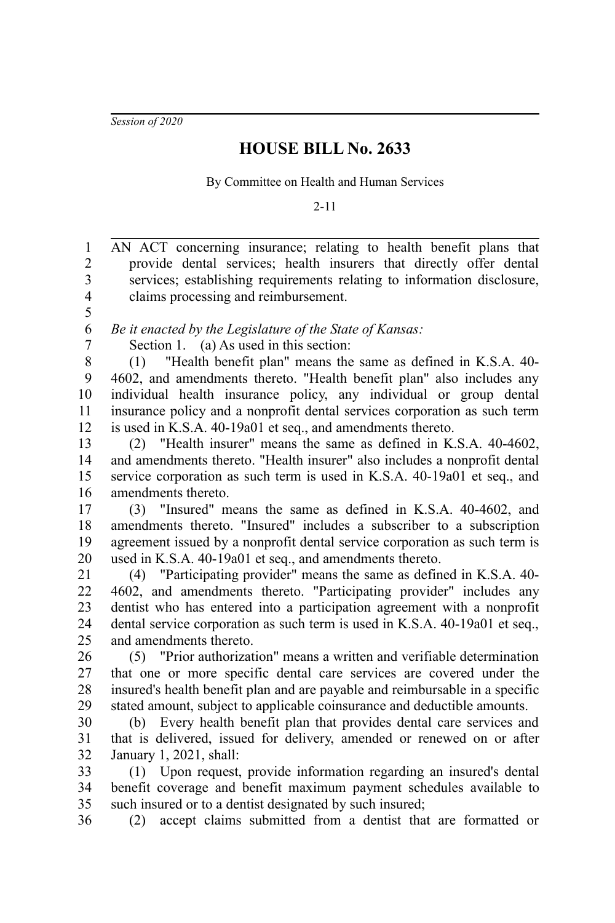*Session of 2020*

## **HOUSE BILL No. 2633**

By Committee on Health and Human Services

2-11

AN ACT concerning insurance; relating to health benefit plans that provide dental services; health insurers that directly offer dental services; establishing requirements relating to information disclosure, claims processing and reimbursement. *Be it enacted by the Legislature of the State of Kansas:* Section 1. (a) As used in this section: (1) "Health benefit plan" means the same as defined in K.S.A. 40- 4602, and amendments thereto. "Health benefit plan" also includes any individual health insurance policy, any individual or group dental insurance policy and a nonprofit dental services corporation as such term is used in K.S.A. 40-19a01 et seq., and amendments thereto. (2) "Health insurer" means the same as defined in K.S.A. 40-4602, and amendments thereto. "Health insurer" also includes a nonprofit dental service corporation as such term is used in K.S.A. 40-19a01 et seq., and amendments thereto. (3) "Insured" means the same as defined in K.S.A. 40-4602, and amendments thereto. "Insured" includes a subscriber to a subscription agreement issued by a nonprofit dental service corporation as such term is used in K.S.A. 40-19a01 et seq., and amendments thereto. (4) "Participating provider" means the same as defined in K.S.A. 40- 4602, and amendments thereto. "Participating provider" includes any dentist who has entered into a participation agreement with a nonprofit dental service corporation as such term is used in K.S.A. 40-19a01 et seq., and amendments thereto. (5) "Prior authorization" means a written and verifiable determination that one or more specific dental care services are covered under the insured's health benefit plan and are payable and reimbursable in a specific stated amount, subject to applicable coinsurance and deductible amounts. (b) Every health benefit plan that provides dental care services and that is delivered, issued for delivery, amended or renewed on or after January 1, 2021, shall: (1) Upon request, provide information regarding an insured's dental benefit coverage and benefit maximum payment schedules available to such insured or to a dentist designated by such insured; (2) accept claims submitted from a dentist that are formatted or 1 2 3 4 5 6 7 8 9 10 11 12 13 14 15 16 17 18 19 20 21 22 23 24 25 26 27 28 29 30 31 32 33 34 35 36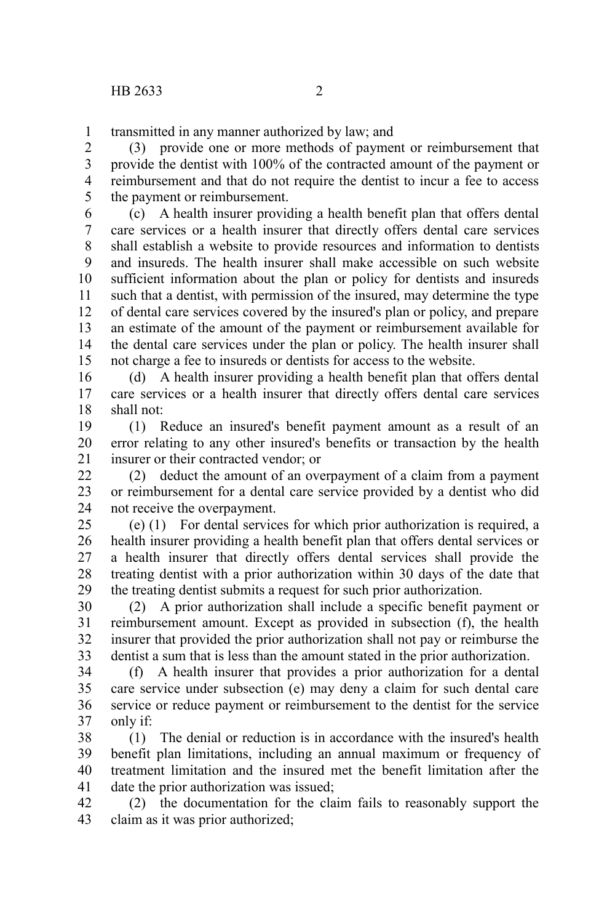transmitted in any manner authorized by law; and 1

(3) provide one or more methods of payment or reimbursement that provide the dentist with 100% of the contracted amount of the payment or reimbursement and that do not require the dentist to incur a fee to access the payment or reimbursement. 2 3 4 5

(c) A health insurer providing a health benefit plan that offers dental care services or a health insurer that directly offers dental care services shall establish a website to provide resources and information to dentists and insureds. The health insurer shall make accessible on such website sufficient information about the plan or policy for dentists and insureds such that a dentist, with permission of the insured, may determine the type of dental care services covered by the insured's plan or policy, and prepare an estimate of the amount of the payment or reimbursement available for the dental care services under the plan or policy. The health insurer shall not charge a fee to insureds or dentists for access to the website. 6 7 8 9 10 11 12 13 14 15

(d) A health insurer providing a health benefit plan that offers dental care services or a health insurer that directly offers dental care services shall not: 16 17 18

(1) Reduce an insured's benefit payment amount as a result of an error relating to any other insured's benefits or transaction by the health insurer or their contracted vendor; or 19 20 21

(2) deduct the amount of an overpayment of a claim from a payment or reimbursement for a dental care service provided by a dentist who did not receive the overpayment.  $22$ 23 24

(e) (1) For dental services for which prior authorization is required, a health insurer providing a health benefit plan that offers dental services or a health insurer that directly offers dental services shall provide the treating dentist with a prior authorization within 30 days of the date that the treating dentist submits a request for such prior authorization. 25 26 27 28 29

(2) A prior authorization shall include a specific benefit payment or reimbursement amount. Except as provided in subsection (f), the health insurer that provided the prior authorization shall not pay or reimburse the dentist a sum that is less than the amount stated in the prior authorization. 30 31 32 33

(f) A health insurer that provides a prior authorization for a dental care service under subsection (e) may deny a claim for such dental care service or reduce payment or reimbursement to the dentist for the service only if: 34 35 36 37

(1) The denial or reduction is in accordance with the insured's health benefit plan limitations, including an annual maximum or frequency of treatment limitation and the insured met the benefit limitation after the date the prior authorization was issued; 38 39 40 41

(2) the documentation for the claim fails to reasonably support the claim as it was prior authorized; 42 43